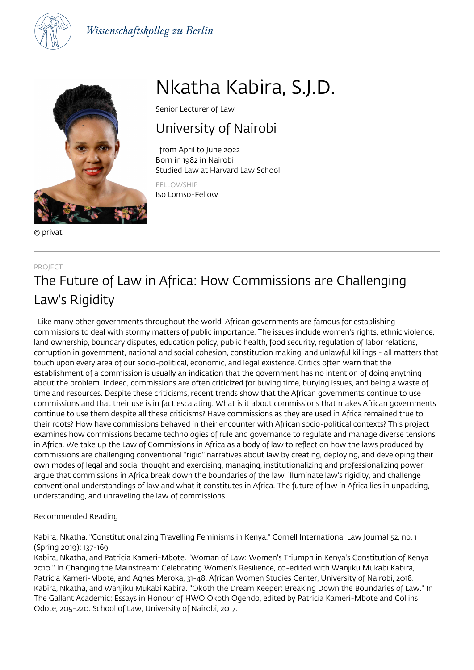



© privat

# Nkatha Kabira, S.J.D.

Senior Lecturer of Law

### University of Nairobi

 from April to June 2022 Born in 1982 in Nairobi Studied Law at Harvard Law School

FELLOWSHIP Iso Lomso-Fellow

### PROJECT The Future of Law in Africa: How Commissions are Challenging Law's Rigidity

 Like many other governments throughout the world, African governments are famous for establishing commissions to deal with stormy matters of public importance. The issues include women's rights, ethnic violence, land ownership, boundary disputes, education policy, public health, food security, regulation of labor relations, corruption in government, national and social cohesion, constitution making, and unlawful killings - all matters that touch upon every area of our socio-political, economic, and legal existence. Critics often warn that the establishment of a commission is usually an indication that the government has no intention of doing anything about the problem. Indeed, commissions are often criticized for buying time, burying issues, and being a waste of time and resources. Despite these criticisms, recent trends show that the African governments continue to use commissions and that their use is in fact escalating. What is it about commissions that makes African governments continue to use them despite all these criticisms? Have commissions as they are used in Africa remained true to their roots? How have commissions behaved in their encounter with African socio-political contexts? This project examines how commissions became technologies of rule and governance to regulate and manage diverse tensions in Africa. We take up the Law of Commissions in Africa as a body of law to reflect on how the laws produced by commissions are challenging conventional "rigid" narratives about law by creating, deploying, and developing their own modes of legal and social thought and exercising, managing, institutionalizing and professionalizing power. I argue that commissions in Africa break down the boundaries of the law, illuminate law's rigidity, and challenge conventional understandings of law and what it constitutes in Africa. The future of law in Africa lies in unpacking, understanding, and unraveling the law of commissions.

### Recommended Reading

Kabira, Nkatha. "Constitutionalizing Travelling Feminisms in Kenya." Cornell International Law Journal 52, no. 1 (Spring 2019): 137-169.

Kabira, Nkatha, and Patricia Kameri-Mbote. "Woman of Law: Women's Triumph in Kenya's Constitution of Kenya 2010." In Changing the Mainstream: Celebrating Women's Resilience, co-edited with Wanjiku Mukabi Kabira, Patricia Kameri-Mbote, and Agnes Meroka, 31-48. African Women Studies Center, University of Nairobi, 2018. Kabira, Nkatha, and Wanjiku Mukabi Kabira. "Okoth the Dream Keeper: Breaking Down the Boundaries of Law." In The Gallant Academic: Essays in Honour of HWO Okoth Ogendo, edited by Patricia Kameri-Mbote and Collins Odote, 205-220. School of Law, University of Nairobi, 2017.